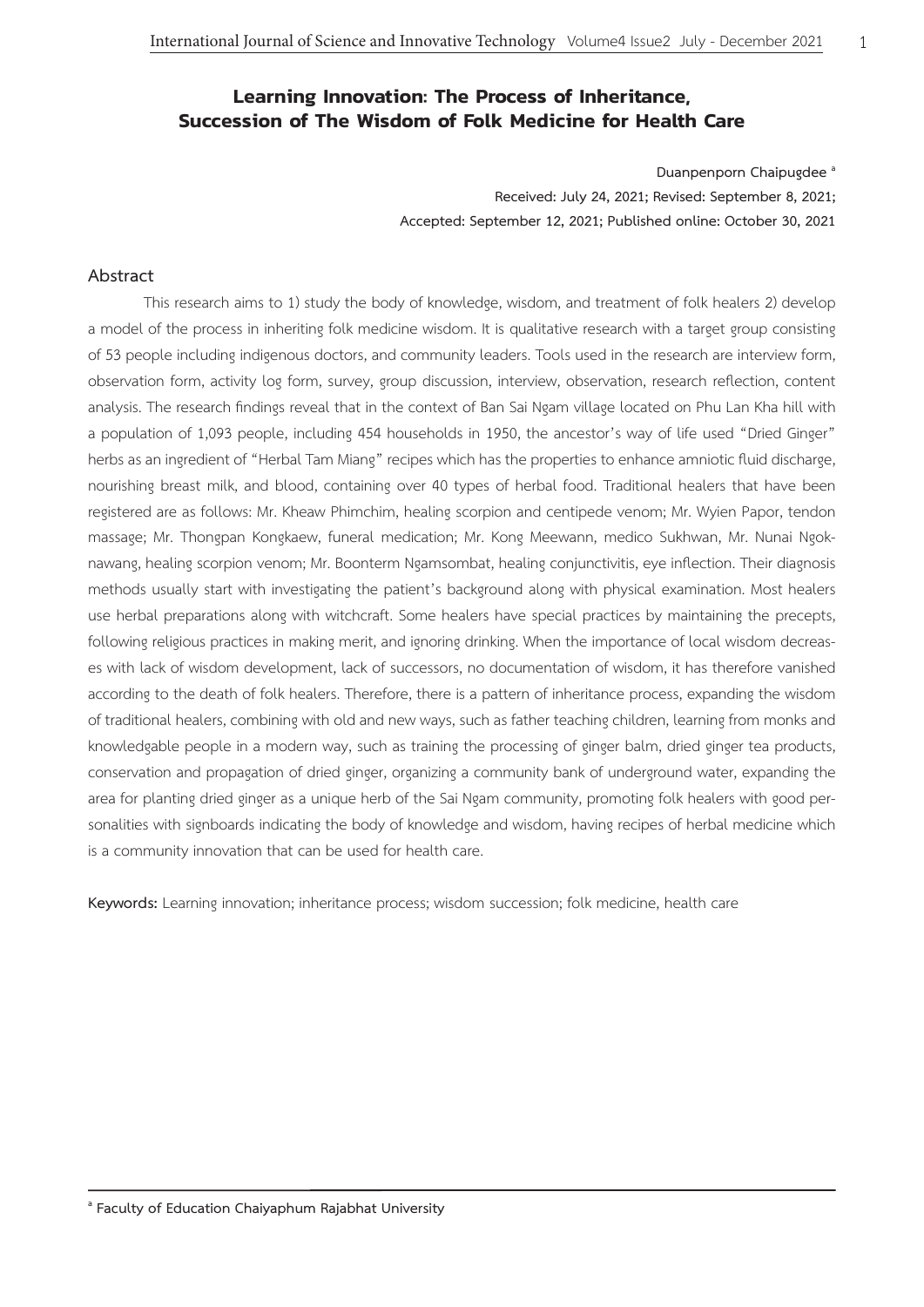# **Learning Innovation: The Process of Inheritance, Succession of The Wisdom of Folk Medicine for Health Care**

**Duanpenporn Chaipugdee a Received: July 24, 2021; Revised: September 8, 2021; Accepted: September 12, 2021; Published online: October 30, 2021**

## **Abstract**

This research aims to 1) study the body of knowledge, wisdom, and treatment of folk healers 2) develop a model of the process in inheriting folk medicine wisdom. It is qualitative research with a target group consisting of 53 people including indigenous doctors, and community leaders. Tools used in the research are interview form, observation form, activity log form, survey, group discussion, interview, observation, research reflection, content analysis. The research findings reveal that in the context of Ban Sai Ngam village located on Phu Lan Kha hill with a population of 1,093 people, including 454 households in 1950, the ancestor's way of life used "Dried Ginger" herbs as an ingredient of "Herbal Tam Miang" recipes which has the properties to enhance amniotic fluid discharge, nourishing breast milk, and blood, containing over 40 types of herbal food. Traditional healers that have been registered are as follows: Mr. Kheaw Phimchim, healing scorpion and centipede venom; Mr. Wyien Papor, tendon massage; Mr. Thongpan Kongkaew, funeral medication; Mr. Kong Meewann, medico Sukhwan, Mr. Nunai Ngoknawang, healing scorpion venom; Mr. Boonterm Ngamsombat, healing conjunctivitis, eye inflection. Their diagnosis methods usually start with investigating the patient's background along with physical examination. Most healers use herbal preparations along with witchcraft. Some healers have special practices by maintaining the precepts, following religious practices in making merit, and ignoring drinking. When the importance of local wisdom decreases with lack of wisdom development, lack of successors, no documentation of wisdom, it has therefore vanished according to the death of folk healers. Therefore, there is a pattern of inheritance process, expanding the wisdom of traditional healers, combining with old and new ways, such as father teaching children, learning from monks and knowledgable people in a modern way, such as training the processing of ginger balm, dried ginger tea products, conservation and propagation of dried ginger, organizing a community bank of underground water, expanding the area for planting dried ginger as a unique herb of the Sai Ngam community, promoting folk healers with good personalities with signboards indicating the body of knowledge and wisdom, having recipes of herbal medicine which is a community innovation that can be used for health care.

**Keywords:** Learning innovation; inheritance process; wisdom succession; folk medicine, health care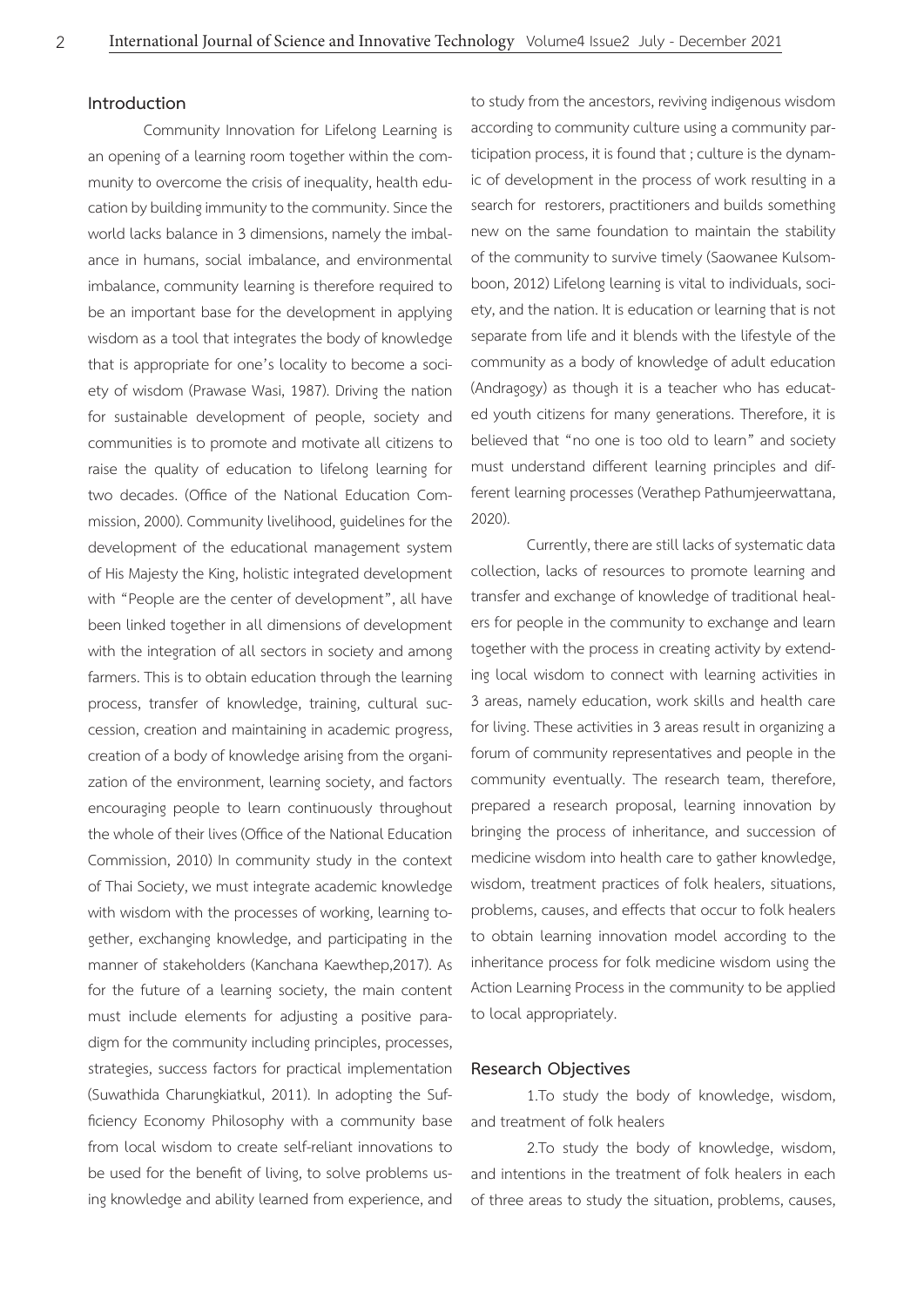### **Introduction**

Community Innovation for Lifelong Learning is an opening of a learning room together within the community to overcome the crisis of inequality, health education by building immunity to the community. Since the world lacks balance in 3 dimensions, namely the imbalance in humans, social imbalance, and environmental imbalance, community learning is therefore required to be an important base for the development in applying wisdom as a tool that integrates the body of knowledge that is appropriate for one's locality to become a society of wisdom (Prawase Wasi, 1987). Driving the nation for sustainable development of people, society and communities is to promote and motivate all citizens to raise the quality of education to lifelong learning for two decades. (Office of the National Education Commission, 2000). Community livelihood, guidelines for the development of the educational management system of His Majesty the King, holistic integrated development with "People are the center of development", all have been linked together in all dimensions of development with the integration of all sectors in society and among farmers. This is to obtain education through the learning process, transfer of knowledge, training, cultural succession, creation and maintaining in academic progress, creation of a body of knowledge arising from the organization of the environment, learning society, and factors encouraging people to learn continuously throughout the whole of their lives (Office of the National Education Commission, 2010) In community study in the context of Thai Society, we must integrate academic knowledge with wisdom with the processes of working, learning together, exchanging knowledge, and participating in the manner of stakeholders (Kanchana Kaewthep,2017). As for the future of a learning society, the main content must include elements for adjusting a positive paradigm for the community including principles, processes, strategies, success factors for practical implementation (Suwathida Charungkiatkul, 2011). In adopting the Sufficiency Economy Philosophy with a community base from local wisdom to create self-reliant innovations to be used for the benefit of living, to solve problems using knowledge and ability learned from experience, and

to study from the ancestors, reviving indigenous wisdom according to community culture using a community participation process, it is found that ; culture is the dynamic of development in the process of work resulting in a search for restorers, practitioners and builds something new on the same foundation to maintain the stability of the community to survive timely (Saowanee Kulsomboon, 2012) Lifelong learning is vital to individuals, society, and the nation. It is education or learning that is not separate from life and it blends with the lifestyle of the community as a body of knowledge of adult education (Andragogy) as though it is a teacher who has educated youth citizens for many generations. Therefore, it is believed that "no one is too old to learn" and society must understand different learning principles and different learning processes (Verathep Pathumjeerwattana, 2020).

Currently, there are still lacks of systematic data collection, lacks of resources to promote learning and transfer and exchange of knowledge of traditional healers for people in the community to exchange and learn together with the process in creating activity by extending local wisdom to connect with learning activities in 3 areas, namely education, work skills and health care for living. These activities in 3 areas result in organizing a forum of community representatives and people in the community eventually. The research team, therefore, prepared a research proposal, learning innovation by bringing the process of inheritance, and succession of medicine wisdom into health care to gather knowledge, wisdom, treatment practices of folk healers, situations, problems, causes, and effects that occur to folk healers to obtain learning innovation model according to the inheritance process for folk medicine wisdom using the Action Learning Process in the community to be applied to local appropriately.

## **Research Objectives**

1.To study the body of knowledge, wisdom, and treatment of folk healers

2.To study the body of knowledge, wisdom, and intentions in the treatment of folk healers in each of three areas to study the situation, problems, causes,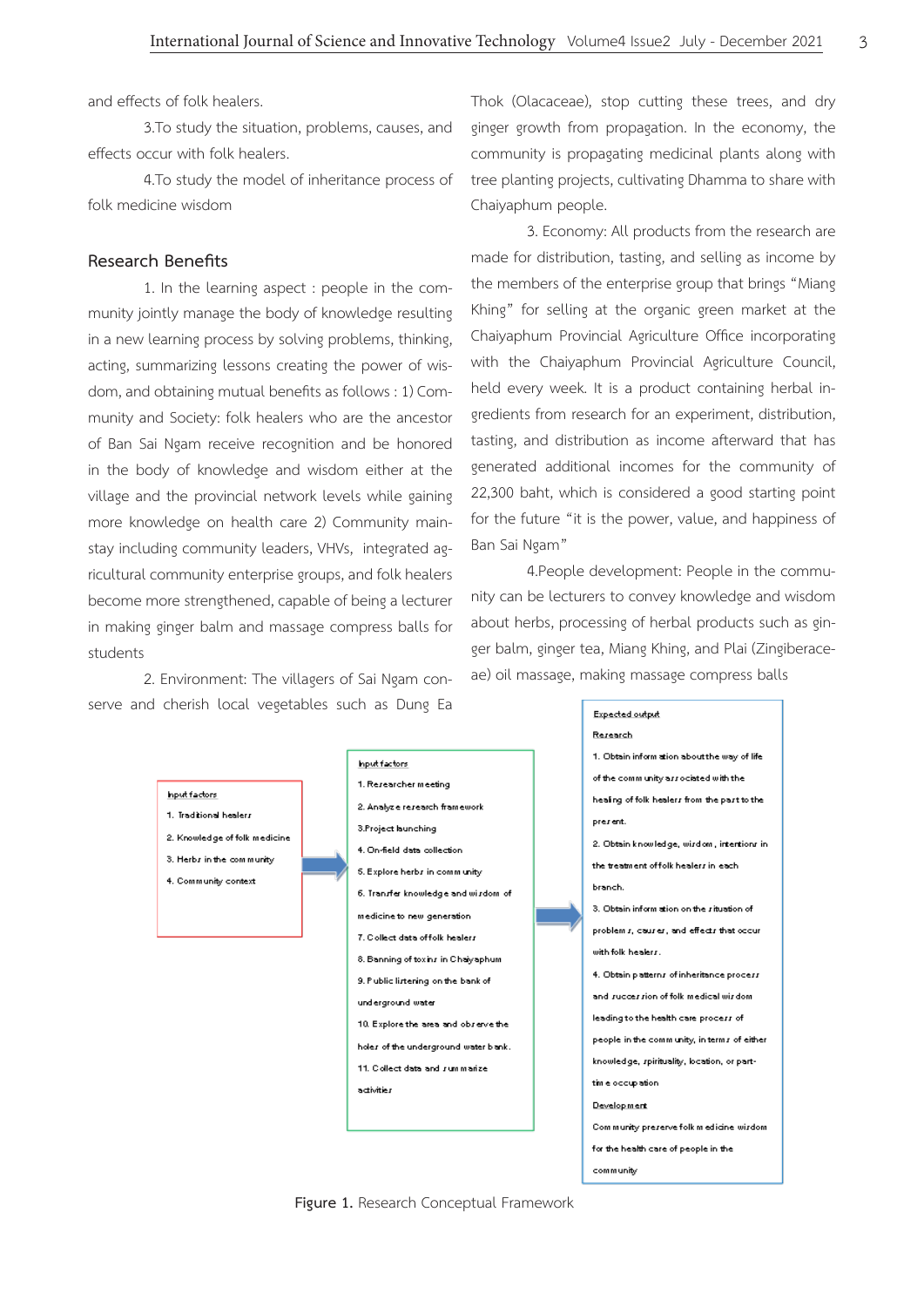and effects of folk healers.

3.To study the situation, problems, causes, and effects occur with folk healers.

4.To study the model of inheritance process of folk medicine wisdom

## **Research Benefits**

1. In the learning aspect : people in the community jointly manage the body of knowledge resulting in a new learning process by solving problems, thinking, acting, summarizing lessons creating the power of wisdom, and obtaining mutual benefits as follows : 1) Community and Society: folk healers who are the ancestor of Ban Sai Ngam receive recognition and be honored in the body of knowledge and wisdom either at the village and the provincial network levels while gaining more knowledge on health care 2) Community mainstay including community leaders, VHVs, integrated agricultural community enterprise groups, and folk healers become more strengthened, capable of being a lecturer in making ginger balm and massage compress balls for students

2. Environment: The villagers of Sai Ngam conserve and cherish local vegetables such as Dung Ea Thok (Olacaceae), stop cutting these trees, and dry ginger growth from propagation. In the economy, the community is propagating medicinal plants along with tree planting projects, cultivating Dhamma to share with Chaiyaphum people.

3. Economy: All products from the research are made for distribution, tasting, and selling as income by the members of the enterprise group that brings "Miang Khing" for selling at the organic green market at the Chaiyaphum Provincial Agriculture Office incorporating with the Chaiyaphum Provincial Agriculture Council, held every week. It is a product containing herbal ingredients from research for an experiment, distribution, tasting, and distribution as income afterward that has generated additional incomes for the community of 22,300 baht, which is considered a good starting point for the future "it is the power, value, and happiness of Ban Sai Ngam"

 4.People development: People in the community can be lecturers to convey knowledge and wisdom about herbs, processing of herbal products such as ginger balm, ginger tea, Miang Khing, and Plai (Zingiberaceae) oil massage, making massage compress balls

community



**Figure 1.** Research Conceptual Framework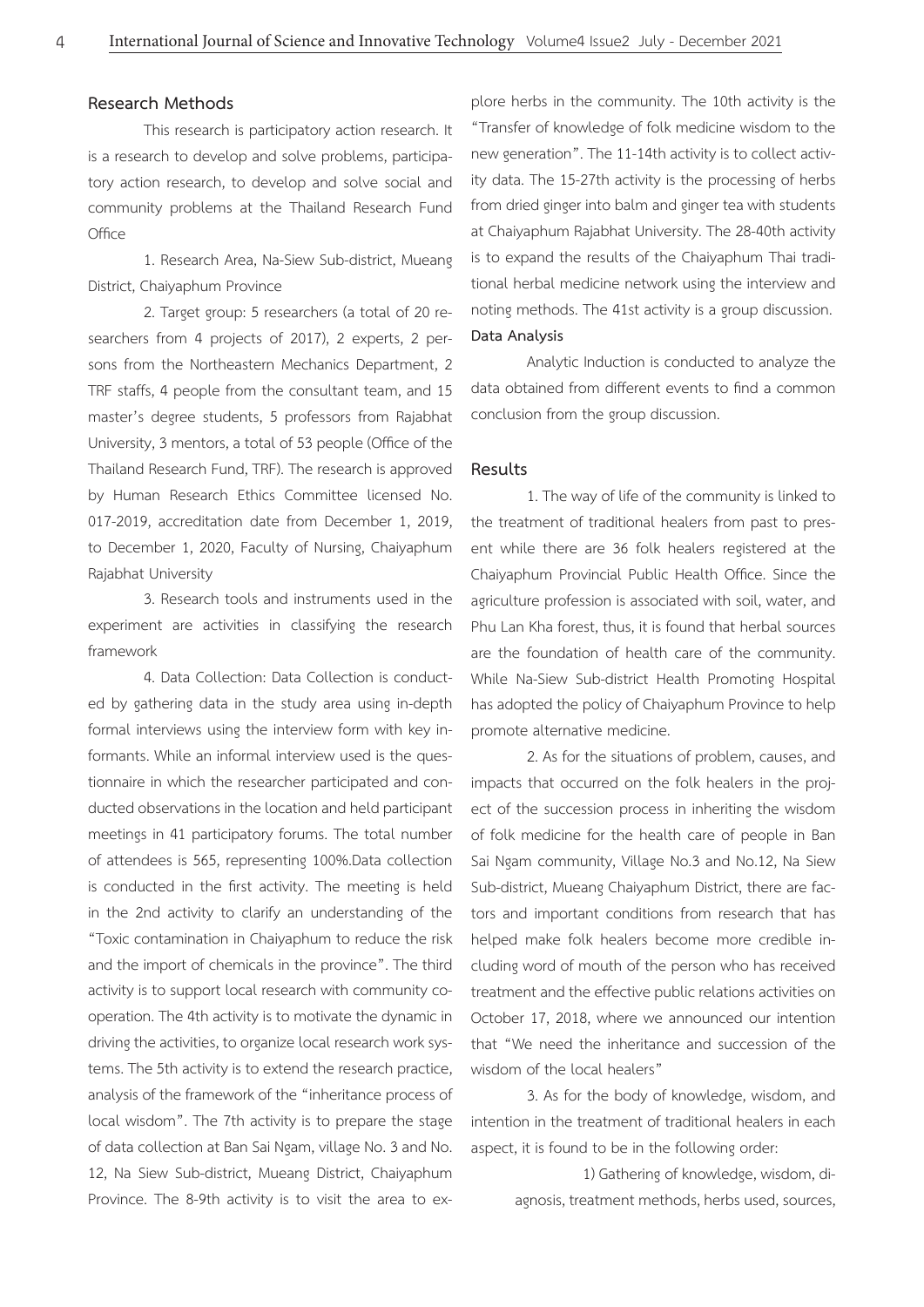#### **Research Methods**

This research is participatory action research. It is a research to develop and solve problems, participatory action research, to develop and solve social and community problems at the Thailand Research Fund **Office** 

1. Research Area, Na-Siew Sub-district, Mueang District, Chaiyaphum Province

2. Target group: 5 researchers (a total of 20 researchers from 4 projects of 2017), 2 experts, 2 persons from the Northeastern Mechanics Department, 2 TRF staffs, 4 people from the consultant team, and 15 master's degree students, 5 professors from Rajabhat University, 3 mentors, a total of 53 people (Office of the Thailand Research Fund, TRF). The research is approved by Human Research Ethics Committee licensed No. 017-2019, accreditation date from December 1, 2019, to December 1, 2020, Faculty of Nursing, Chaiyaphum Rajabhat University

3. Research tools and instruments used in the experiment are activities in classifying the research framework

4. Data Collection: Data Collection is conducted by gathering data in the study area using in-depth formal interviews using the interview form with key informants. While an informal interview used is the questionnaire in which the researcher participated and conducted observations in the location and held participant meetings in 41 participatory forums. The total number of attendees is 565, representing 100%.Data collection is conducted in the first activity. The meeting is held in the 2nd activity to clarify an understanding of the "Toxic contamination in Chaiyaphum to reduce the risk and the import of chemicals in the province". The third activity is to support local research with community cooperation. The 4th activity is to motivate the dynamic in driving the activities, to organize local research work systems. The 5th activity is to extend the research practice, analysis of the framework of the "inheritance process of local wisdom". The 7th activity is to prepare the stage of data collection at Ban Sai Ngam, village No. 3 and No. 12, Na Siew Sub-district, Mueang District, Chaiyaphum Province. The 8-9th activity is to visit the area to ex-

plore herbs in the community. The 10th activity is the "Transfer of knowledge of folk medicine wisdom to the new generation". The 11-14th activity is to collect activity data. The 15-27th activity is the processing of herbs from dried ginger into balm and ginger tea with students at Chaiyaphum Rajabhat University. The 28-40th activity is to expand the results of the Chaiyaphum Thai traditional herbal medicine network using the interview and noting methods. The 41st activity is a group discussion. **Data Analysis**

Analytic Induction is conducted to analyze the data obtained from different events to find a common conclusion from the group discussion.

## **Results**

1. The way of life of the community is linked to the treatment of traditional healers from past to present while there are 36 folk healers registered at the Chaiyaphum Provincial Public Health Office. Since the agriculture profession is associated with soil, water, and Phu Lan Kha forest, thus, it is found that herbal sources are the foundation of health care of the community. While Na-Siew Sub-district Health Promoting Hospital has adopted the policy of Chaiyaphum Province to help promote alternative medicine.

2. As for the situations of problem, causes, and impacts that occurred on the folk healers in the project of the succession process in inheriting the wisdom of folk medicine for the health care of people in Ban Sai Ngam community, Village No.3 and No.12, Na Siew Sub-district, Mueang Chaiyaphum District, there are factors and important conditions from research that has helped make folk healers become more credible including word of mouth of the person who has received treatment and the effective public relations activities on October 17, 2018, where we announced our intention that "We need the inheritance and succession of the wisdom of the local healers"

3. As for the body of knowledge, wisdom, and intention in the treatment of traditional healers in each aspect, it is found to be in the following order:

 1) Gathering of knowledge, wisdom, diagnosis, treatment methods, herbs used, sources,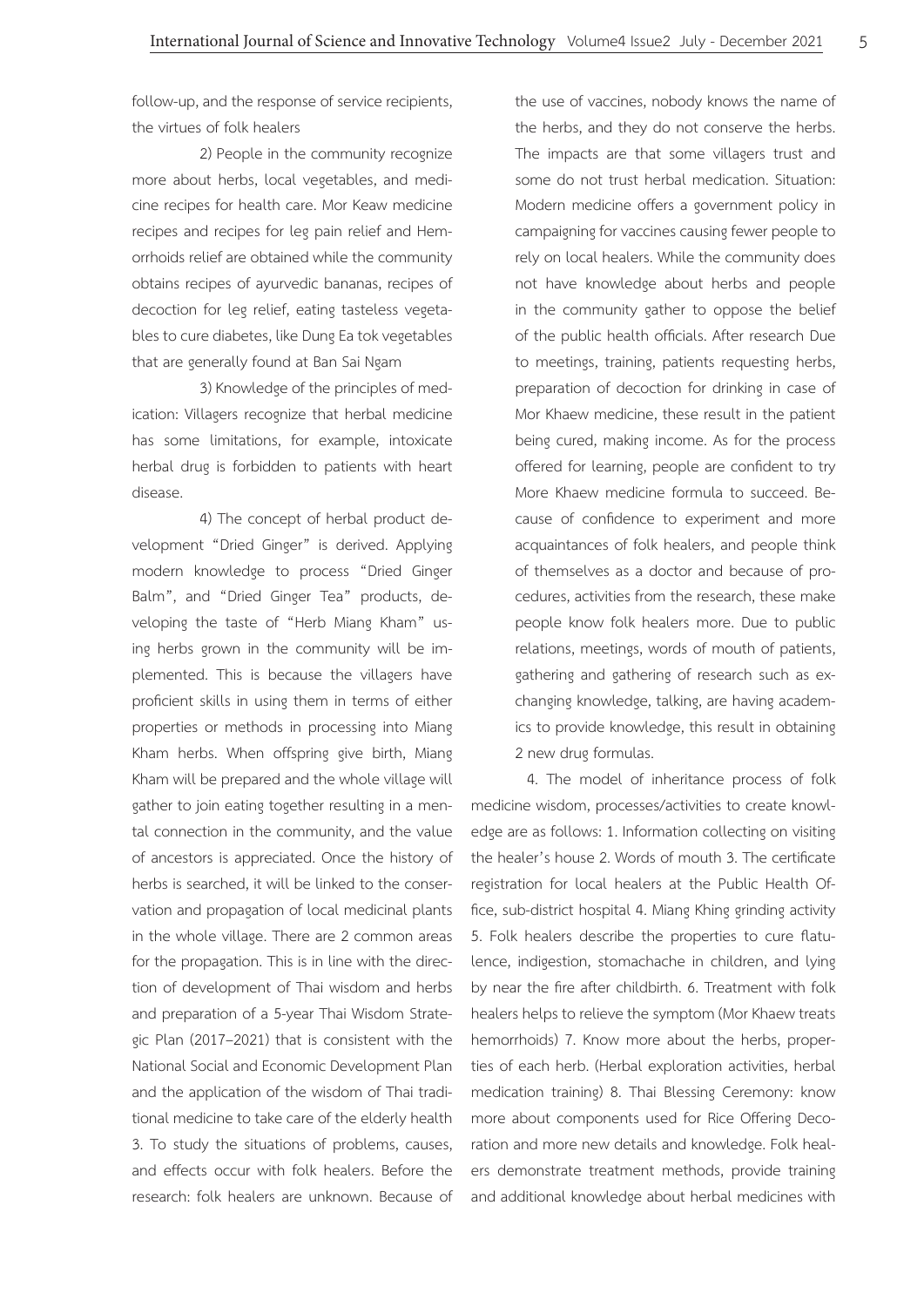follow-up, and the response of service recipients, the virtues of folk healers

2) People in the community recognize more about herbs, local vegetables, and medicine recipes for health care. Mor Keaw medicine recipes and recipes for leg pain relief and Hemorrhoids relief are obtained while the community obtains recipes of ayurvedic bananas, recipes of decoction for leg relief, eating tasteless vegetables to cure diabetes, like Dung Ea tok vegetables that are generally found at Ban Sai Ngam

3) Knowledge of the principles of medication: Villagers recognize that herbal medicine has some limitations, for example, intoxicate herbal drug is forbidden to patients with heart disease.

 4) The concept of herbal product development "Dried Ginger" is derived. Applying modern knowledge to process "Dried Ginger Balm", and "Dried Ginger Tea" products, developing the taste of "Herb Miang Kham" using herbs grown in the community will be implemented. This is because the villagers have proficient skills in using them in terms of either properties or methods in processing into Miang Kham herbs. When offspring give birth, Miang Kham will be prepared and the whole village will gather to join eating together resulting in a mental connection in the community, and the value of ancestors is appreciated. Once the history of herbs is searched, it will be linked to the conservation and propagation of local medicinal plants in the whole village. There are 2 common areas for the propagation. This is in line with the direction of development of Thai wisdom and herbs and preparation of a 5-year Thai Wisdom Strategic Plan (2017–2021) that is consistent with the National Social and Economic Development Plan and the application of the wisdom of Thai traditional medicine to take care of the elderly health 3. To study the situations of problems, causes, and effects occur with folk healers. Before the research: folk healers are unknown. Because of the use of vaccines, nobody knows the name of the herbs, and they do not conserve the herbs. The impacts are that some villagers trust and some do not trust herbal medication. Situation: Modern medicine offers a government policy in campaigning for vaccines causing fewer people to rely on local healers. While the community does not have knowledge about herbs and people in the community gather to oppose the belief of the public health officials. After research Due to meetings, training, patients requesting herbs, preparation of decoction for drinking in case of Mor Khaew medicine, these result in the patient being cured, making income. As for the process offered for learning, people are confident to try More Khaew medicine formula to succeed. Because of confidence to experiment and more acquaintances of folk healers, and people think of themselves as a doctor and because of procedures, activities from the research, these make people know folk healers more. Due to public relations, meetings, words of mouth of patients, gathering and gathering of research such as exchanging knowledge, talking, are having academics to provide knowledge, this result in obtaining 2 new drug formulas.

4. The model of inheritance process of folk medicine wisdom, processes/activities to create knowledge are as follows: 1. Information collecting on visiting the healer's house 2. Words of mouth 3. The certificate registration for local healers at the Public Health Office, sub-district hospital 4. Miang Khing grinding activity 5. Folk healers describe the properties to cure flatulence, indigestion, stomachache in children, and lying by near the fire after childbirth. 6. Treatment with folk healers helps to relieve the symptom (Mor Khaew treats hemorrhoids) 7. Know more about the herbs, properties of each herb. (Herbal exploration activities, herbal medication training) 8. Thai Blessing Ceremony: know more about components used for Rice Offering Decoration and more new details and knowledge. Folk healers demonstrate treatment methods, provide training and additional knowledge about herbal medicines with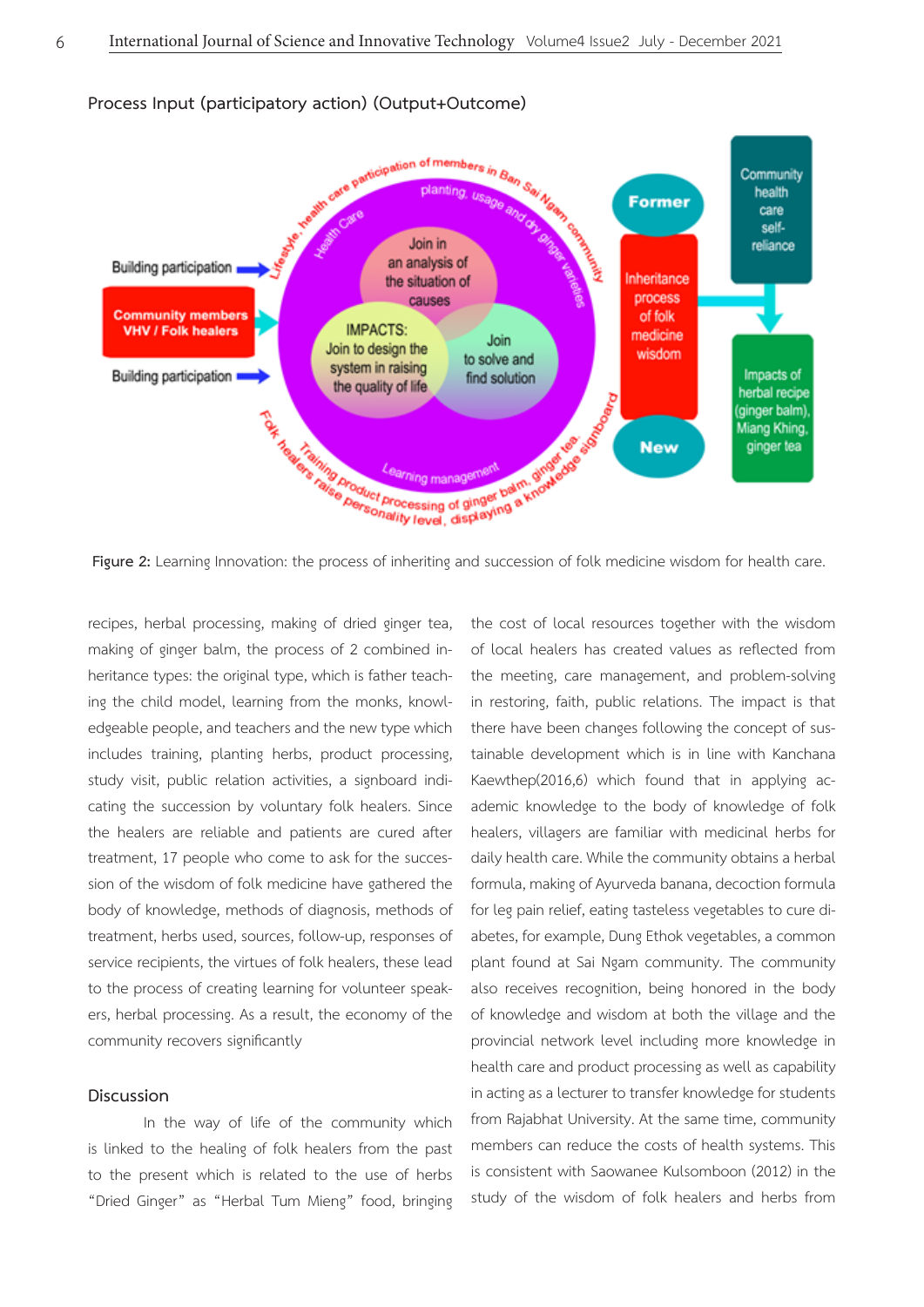

recipes, herbal processing, making of dried ginger tea, making of ginger balm, the process of 2 combined inheritance types: the original type, which is father teaching the child model, learning from the monks, knowledgeable people, and teachers and the new type which includes training, planting herbs, product processing, study visit, public relation activities, a signboard indicating the succession by voluntary folk healers. Since the healers are reliable and patients are cured after treatment, 17 people who come to ask for the succession of the wisdom of folk medicine have gathered the body of knowledge, methods of diagnosis, methods of treatment, herbs used, sources, follow-up, responses of service recipients, the virtues of folk healers, these lead to the process of creating learning for volunteer speakers, herbal processing. As a result, the economy of the community recovers significantly

## **Discussion**

In the way of life of the community which is linked to the healing of folk healers from the past to the present which is related to the use of herbs "Dried Ginger" as "Herbal Tum Mieng" food, bringing

the cost of local resources together with the wisdom of local healers has created values as reflected from the meeting, care management, and problem-solving in restoring, faith, public relations. The impact is that there have been changes following the concept of sustainable development which is in line with Kanchana Kaewthep(2016,6) which found that in applying academic knowledge to the body of knowledge of folk healers, villagers are familiar with medicinal herbs for daily health care. While the community obtains a herbal formula, making of Ayurveda banana, decoction formula for leg pain relief, eating tasteless vegetables to cure diabetes, for example, Dung Ethok vegetables, a common plant found at Sai Ngam community. The community also receives recognition, being honored in the body of knowledge and wisdom at both the village and the provincial network level including more knowledge in health care and product processing as well as capability in acting as a lecturer to transfer knowledge for students from Rajabhat University. At the same time, community members can reduce the costs of health systems. This is consistent with Saowanee Kulsomboon (2012) in the study of the wisdom of folk healers and herbs from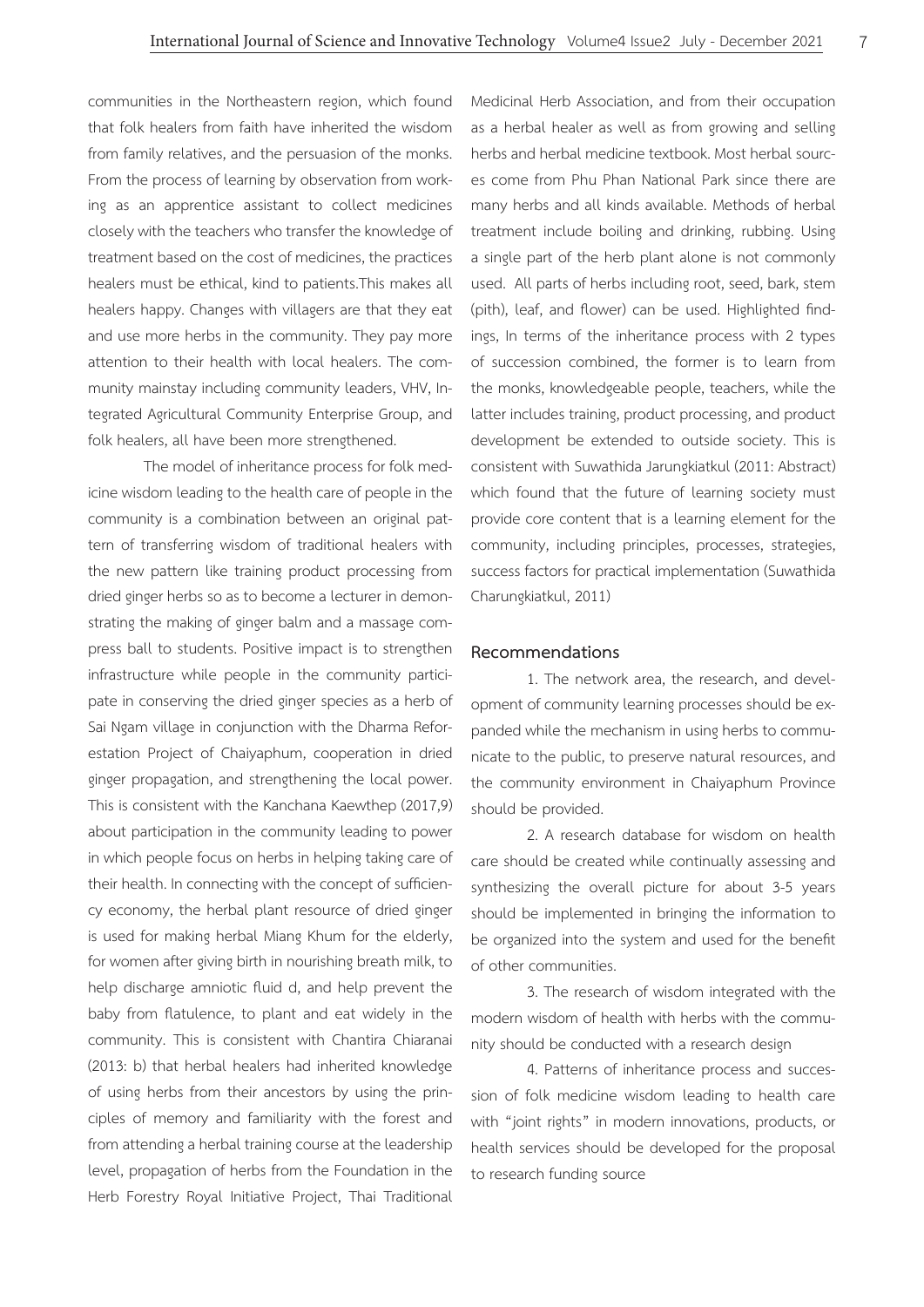communities in the Northeastern region, which found that folk healers from faith have inherited the wisdom from family relatives, and the persuasion of the monks. From the process of learning by observation from working as an apprentice assistant to collect medicines closely with the teachers who transfer the knowledge of treatment based on the cost of medicines, the practices healers must be ethical, kind to patients.This makes all healers happy. Changes with villagers are that they eat and use more herbs in the community. They pay more attention to their health with local healers. The community mainstay including community leaders, VHV, Integrated Agricultural Community Enterprise Group, and folk healers, all have been more strengthened.

The model of inheritance process for folk medicine wisdom leading to the health care of people in the community is a combination between an original pattern of transferring wisdom of traditional healers with the new pattern like training product processing from dried ginger herbs so as to become a lecturer in demonstrating the making of ginger balm and a massage compress ball to students. Positive impact is to strengthen infrastructure while people in the community participate in conserving the dried ginger species as a herb of Sai Ngam village in conjunction with the Dharma Reforestation Project of Chaiyaphum, cooperation in dried ginger propagation, and strengthening the local power. This is consistent with the Kanchana Kaewthep (2017,9) about participation in the community leading to power in which people focus on herbs in helping taking care of their health. In connecting with the concept of sufficiency economy, the herbal plant resource of dried ginger is used for making herbal Miang Khum for the elderly, for women after giving birth in nourishing breath milk, to help discharge amniotic fluid d, and help prevent the baby from flatulence, to plant and eat widely in the community. This is consistent with Chantira Chiaranai (2013: b) that herbal healers had inherited knowledge of using herbs from their ancestors by using the principles of memory and familiarity with the forest and from attending a herbal training course at the leadership level, propagation of herbs from the Foundation in the Herb Forestry Royal Initiative Project, Thai Traditional

Medicinal Herb Association, and from their occupation as a herbal healer as well as from growing and selling herbs and herbal medicine textbook. Most herbal sources come from Phu Phan National Park since there are many herbs and all kinds available. Methods of herbal treatment include boiling and drinking, rubbing. Using a single part of the herb plant alone is not commonly used. All parts of herbs including root, seed, bark, stem (pith), leaf, and flower) can be used. Highlighted findings, In terms of the inheritance process with 2 types of succession combined, the former is to learn from the monks, knowledgeable people, teachers, while the latter includes training, product processing, and product development be extended to outside society. This is consistent with Suwathida Jarungkiatkul (2011: Abstract) which found that the future of learning society must provide core content that is a learning element for the community, including principles, processes, strategies, success factors for practical implementation (Suwathida Charungkiatkul, 2011)

#### **Recommendations**

1. The network area, the research, and development of community learning processes should be expanded while the mechanism in using herbs to communicate to the public, to preserve natural resources, and the community environment in Chaiyaphum Province should be provided.

2. A research database for wisdom on health care should be created while continually assessing and synthesizing the overall picture for about 3-5 years should be implemented in bringing the information to be organized into the system and used for the benefit of other communities.

3. The research of wisdom integrated with the modern wisdom of health with herbs with the community should be conducted with a research design

4. Patterns of inheritance process and succession of folk medicine wisdom leading to health care with "joint rights" in modern innovations, products, or health services should be developed for the proposal to research funding source